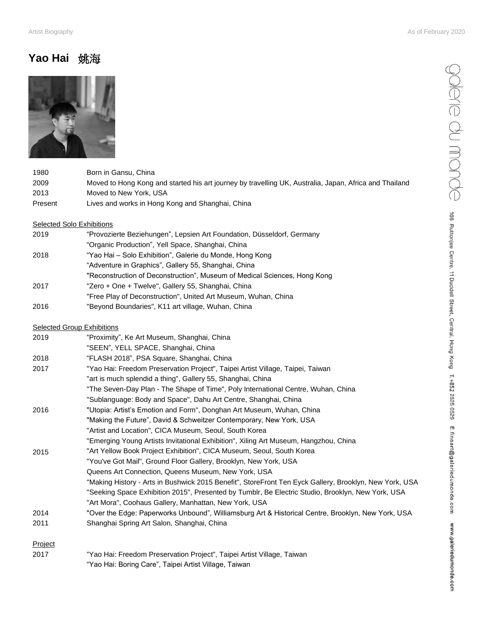galerie du monde

108 Ruttoniee Centre, 11 Duddell Street, Central, Hong Kong T.+852 2525 0529 E.fineart@galeriedumonde.com www.galeriedumonde.com

## **Yao Hai** 姚海



| 1980    | Born in Gansu, China                                                                                   |
|---------|--------------------------------------------------------------------------------------------------------|
| 2009    | Moved to Hong Kong and started his art journey by travelling UK, Australia, Japan, Africa and Thailand |
| 2013    | Moved to New York, USA                                                                                 |
| Present | Lives and works in Hong Kong and Shanghai, China                                                       |
|         | <b>Selected Solo Exhibitions</b>                                                                       |
| 2019    | "Provozierte Beziehungen", Lepsien Art Foundation, Düsseldorf, Germany                                 |
|         | "Organic Production", Yell Space, Shanghai, China                                                      |
| 2018    | "Yao Hai - Solo Exhibition", Galerie du Monde, Hong Kong                                               |
|         | "Adventure in Graphics", Gallery 55, Shanghai, China                                                   |
|         | "Reconstruction of Deconstruction", Museum of Medical Sciences, Hong Kong                              |
| 2017    | "Zero + One + Twelve", Gallery 55, Shanghai, China                                                     |
|         | "Free Play of Deconstruction", United Art Museum, Wuhan, China                                         |
| 2016    | "Beyond Boundaries", K11 art village, Wuhan, China                                                     |
|         | <b>Selected Group Exhibitions</b>                                                                      |
| 2019    | "Proximity", Ke Art Museum, Shanghai, China                                                            |
|         | "SEEN", YELL SPACE, Shanghai, China                                                                    |
| 2018    | "FLASH 2018", PSA Square, Shanghai, China                                                              |
| 2017    | "Yao Hai: Freedom Preservation Project", Taipei Artist Village, Taipei, Taiwan                         |
|         | "art is much splendid a thing", Gallery 55, Shanghai, China                                            |
|         | "The Seven-Day Plan - The Shape of Time", Poly International Centre, Wuhan, China                      |
|         | "Sublanguage: Body and Space", Dahu Art Centre, Shanghai, China                                        |
| 2016    | "Utopia: Artist's Emotion and Form", Donghan Art Museum, Wuhan, China                                  |
|         | "Making the Future", David & Schweitzer Contemporary, New York, USA                                    |
|         | "Artist and Location", CICA Museum, Seoul, South Korea                                                 |
|         | "Emerging Young Artists Invitational Exhibition", Xiling Art Museum, Hangzhou, China                   |
| 2015    | "Art Yellow Book Project Exhibition", CICA Museum, Seoul, South Korea                                  |
|         | "You've Got Mail", Ground Floor Gallery, Brooklyn, New York, USA                                       |
|         | Queens Art Connection, Queens Museum, New York, USA                                                    |
|         | "Making History - Arts in Bushwick 2015 Benefit", StoreFront Ten Eyck Gallery, Brooklyn, New York, USA |
|         | "Seeking Space Exhibition 2015", Presented by Tumblr, Be Electric Studio, Brooklyn, New York, USA      |
|         | "Art Mora", Coohaus Gallery, Manhattan, New York, USA                                                  |
| 2014    | "Over the Edge: Paperworks Unbound", Williamsburg Art & Historical Centre, Brooklyn, New York, USA     |
| 2011    | Shanghai Spring Art Salon, Shanghai, China                                                             |
| Project |                                                                                                        |

2017 "Yao Hai: Freedom Preservation Project", Taipei Artist Village, Taiwan "Yao Hai: Boring Care", Taipei Artist Village, Taiwan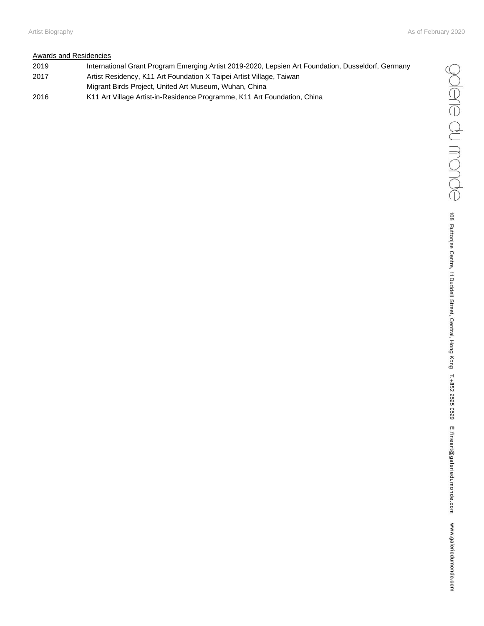## Awards and Residencies

 International Grant Program Emerging Artist 2019-2020, Lepsien Art Foundation, Dusseldorf, Germany Artist Residency, K11 Art Foundation X Taipei Artist Village, Taiwan Migrant Birds Project, United Art Museum, Wuhan, China K11 Art Village Artist-in-Residence Programme, K11 Art Foundation, China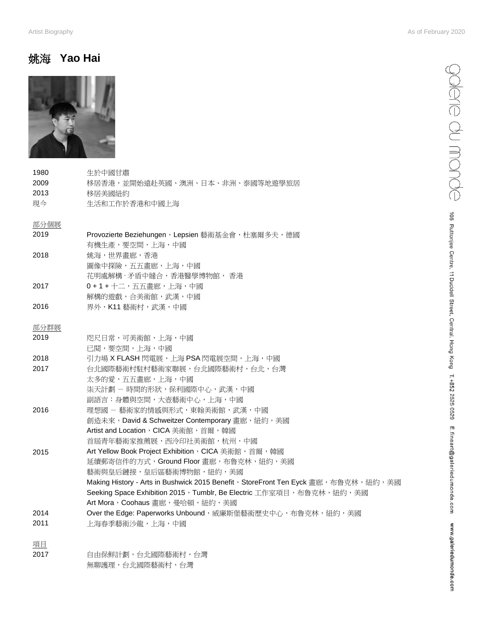## 姚海 **Yao Hai**



| 1980 | 生於中國甘肅                                                                            |
|------|-----------------------------------------------------------------------------------|
| 2009 | 移居香港,並開始遠赴英國、澳洲、日本、非洲、泰國等地遊學旅居                                                    |
| 2013 | 移居美國紐約                                                                            |
| 現今   | 生活和工作於香港和中國上海                                                                     |
| 部分個展 |                                                                                   |
| 2019 | Provozierte Beziehungen, Lepsien 藝術基金會, 杜塞爾多夫, 德國                                 |
|      | 有機生產,要空間,上海,中國                                                                    |
| 2018 | 姚海,世界畫廊,香港                                                                        |
|      | 圖像中探險,五五畫廊,上海,中國                                                                  |
|      | 花明處解構·矛盾中縫合,香港醫學博物館, 香港                                                           |
| 2017 | 0 + 1 + 十二,五五畫廊,上海,中國                                                             |
|      | 解構的遊戲, 合美術館, 武漢, 中國                                                               |
| 2016 | 界外,K11 藝術村,武漢,中國                                                                  |
| 部分群展 |                                                                                   |
| 2019 | 咫尺日常,可美術館,上海,中國                                                                   |
|      | 已閱,要空間,上海,中國                                                                      |
| 2018 | 引力場 X FLASH 閃電展,上海 PSA 閃電展空間,上海,中國                                                |
| 2017 | 台北國際藝術村駐村藝術家聯展,台北國際藝術村,台北,台灣                                                      |
|      | 太多的愛,五五畫廊,上海,中國                                                                   |
|      | 柒天計劃 - 時間的形狀,保利國際中心,武漢,中國                                                         |
|      | 副語言:身體與空間,大壺藝術中心,上海,中國                                                            |
| 2016 | 理想國 - 藝術家的情感與形式,東翰美術館,武漢,中國                                                       |
|      | 創造未來, David & Schweitzer Contemporary 畫廊, 紐約, 美國                                  |
|      | Artist and Location, CICA 美術館, 首爾, 韓國                                             |
|      | 首屆青年藝術家推薦展,西泠印社美術館,杭州,中國                                                          |
| 2015 | Art Yellow Book Project Exhibition, CICA 美術館, 首爾, 韓國                              |
|      | 延續郵寄信件的方式, Ground Floor 畫廊, 布鲁克林, 紐約, 美國                                          |
|      | 藝術與皇后鏈接,皇后區藝術博物館,紐約,美國                                                            |
|      | Making History - Arts in Bushwick 2015 Benefit, StoreFront Ten Eyck 畫廊,布鲁克林,紐約,美國 |
|      | Seeking Space Exhibition 2015, Tumblr, Be Electric 工作室項目, 布鲁克林, 紐約, 美國            |
|      | Art Mora, Coohaus 書廊, 曼哈頓, 紐約, 美國                                                 |
| 2014 | Over the Edge: Paperworks Unbound, 威廉斯堡藝術歷史中心, 布鲁克林, 紐約, 美國                       |
| 2011 | 上海春季藝術沙龍,上海,中國                                                                    |
| 項目   |                                                                                   |

2017 自由保鮮計劃,台北國際藝術村,台灣 無聊護理,台北國際藝術村,台灣